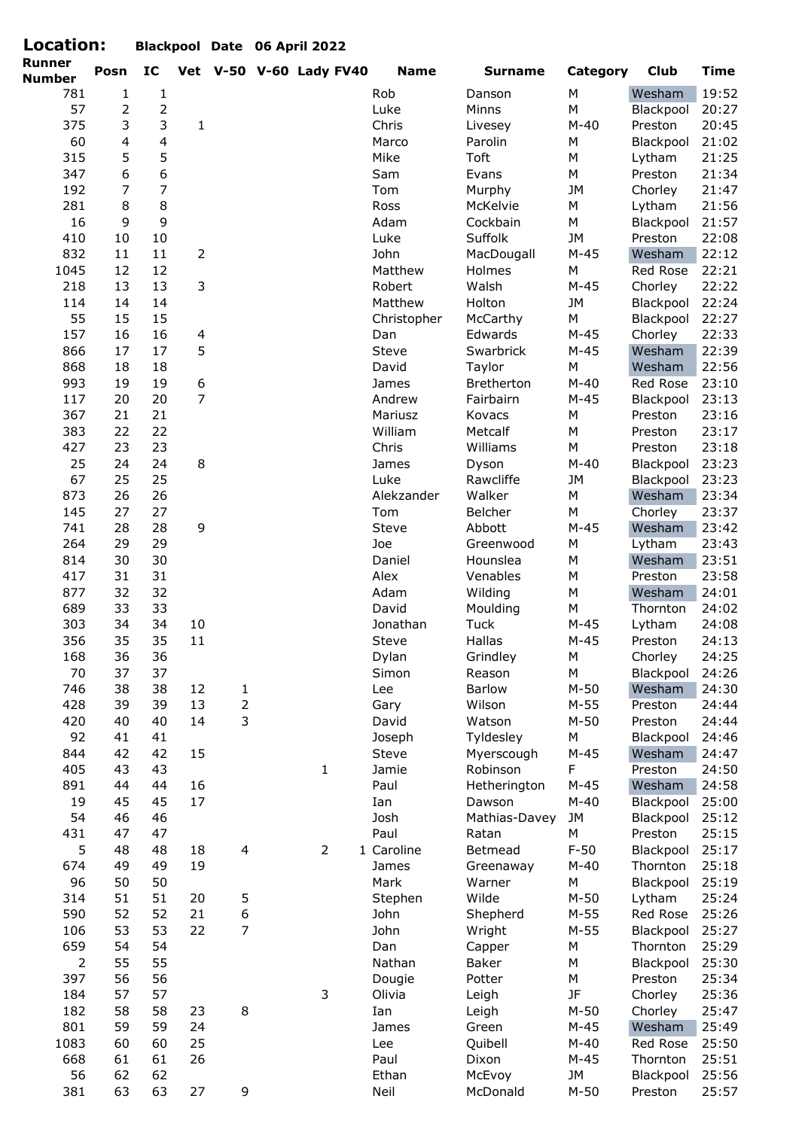| Location:            |                |                |                  |                          | Blackpool Date 06 April 2022 |                   |                     |                     |                     |                |
|----------------------|----------------|----------------|------------------|--------------------------|------------------------------|-------------------|---------------------|---------------------|---------------------|----------------|
| Runner               | Posn           | IC             |                  |                          | Vet V-50 V-60 Lady FV40      | <b>Name</b>       | <b>Surname</b>      | Category            | <b>Club</b>         | <b>Time</b>    |
| <b>Number</b><br>781 | 1              | $\mathbf{1}$   |                  |                          |                              | Rob               | Danson              | ${\sf M}$           | Wesham              | 19:52          |
| 57                   | $\overline{2}$ | $\overline{2}$ |                  |                          |                              | Luke              | Minns               | ${\sf M}$           | Blackpool           | 20:27          |
| 375                  | 3              | 3              | $\mathbf{1}$     |                          |                              | Chris             | Livesey             | $M-40$              | Preston             | 20:45          |
| 60                   | $\overline{4}$ | $\overline{4}$ |                  |                          |                              | Marco             | Parolin             | M                   | Blackpool           | 21:02          |
| 315                  | 5              | 5              |                  |                          |                              | Mike              | <b>Toft</b>         | ${\sf M}$           | Lytham              | 21:25          |
| 347                  | $6\,$          | 6              |                  |                          |                              | Sam               | Evans               | M                   | Preston             | 21:34          |
| 192                  | $\overline{7}$ | $\overline{7}$ |                  |                          |                              | Tom               | Murphy              | <b>JM</b>           | Chorley             | 21:47          |
| 281                  | $\,8\,$        | 8              |                  |                          |                              | Ross              | McKelvie            | М                   | Lytham              | 21:56          |
| 16                   | 9              | 9              |                  |                          |                              | Adam              | Cockbain            | M                   | Blackpool           | 21:57          |
| 410                  | 10             | 10             |                  |                          |                              | Luke              | Suffolk             | <b>JM</b>           | Preston             | 22:08          |
| 832                  | 11             | 11             | $\overline{2}$   |                          |                              | John              | MacDougall          | $M-45$              | Wesham              | 22:12          |
| 1045                 | 12             | 12             |                  |                          |                              | Matthew           | Holmes              | ${\sf M}$           | Red Rose            | 22:21          |
| 218                  | 13             | 13             | 3                |                          |                              | Robert            | Walsh               | $M-45$              | Chorley             | 22:22          |
| 114                  | 14             | 14             |                  |                          |                              | Matthew           | Holton              | JM                  | Blackpool           | 22:24          |
| 55                   | 15             | 15             |                  |                          |                              | Christopher       | McCarthy            | M                   | Blackpool           | 22:27          |
| 157                  | 16             | 16             | 4                |                          |                              | Dan               | Edwards             | $M-45$              | Chorley             | 22:33          |
| 866                  | 17             | 17             | 5                |                          |                              | Steve             | Swarbrick           | $M-45$              | Wesham              | 22:39          |
| 868                  | 18             | 18             |                  |                          |                              | David             | Taylor              | ${\sf M}$           | Wesham              | 22:56          |
| 993                  | 19             | 19             | $\boldsymbol{6}$ |                          |                              | James             | Bretherton          | $M-40$              | Red Rose            | 23:10          |
| 117                  | 20             | 20             | $\overline{7}$   |                          |                              | Andrew            | Fairbairn           | $M-45$              | Blackpool           | 23:13          |
| 367                  | 21             | 21             |                  |                          |                              | Mariusz           | Kovacs              | ${\sf M}$           | Preston             | 23:16          |
| 383                  | 22             | 22             |                  |                          |                              | William           | Metcalf             | ${\sf M}$           | Preston             | 23:17          |
| 427                  | 23             | 23             |                  |                          |                              | Chris             | Williams            | ${\sf M}$           | Preston             | 23:18          |
| 25                   | 24             | 24             | 8                |                          |                              | James             | Dyson               | $M-40$              | Blackpool           | 23:23          |
| 67<br>873            | 25<br>26       | 25<br>26       |                  |                          |                              | Luke              | Rawcliffe<br>Walker | JM<br>M             | Blackpool<br>Wesham | 23:23<br>23:34 |
| 145                  | 27             | 27             |                  |                          |                              | Alekzander<br>Tom | Belcher             | ${\sf M}$           | Chorley             | 23:37          |
| 741                  | 28             | 28             | 9                |                          |                              | Steve             | Abbott              | $M-45$              | Wesham              | 23:42          |
| 264                  | 29             | 29             |                  |                          |                              | Joe               | Greenwood           | ${\sf M}$           | Lytham              | 23:43          |
| 814                  | 30             | 30             |                  |                          |                              | Daniel            | Hounslea            | ${\sf M}$           | Wesham              | 23:51          |
| 417                  | 31             | 31             |                  |                          |                              | Alex              | Venables            | M                   | Preston             | 23:58          |
| 877                  | 32             | 32             |                  |                          |                              | Adam              | Wilding             | М                   | Wesham              | 24:01          |
| 689                  | 33             | 33             |                  |                          |                              | David             | Moulding            | ${\sf M}$           | Thornton            | 24:02          |
| 303                  | 34             | 34             | 10               |                          |                              | Jonathan          | <b>Tuck</b>         | $M-45$              | Lytham              | 24:08          |
| 356                  | 35             | 35             | $11\,$           |                          |                              | Steve             | Hallas              | $M-45$              | Preston             | 24:13          |
| 168                  | 36             | 36             |                  |                          |                              | Dylan             | Grindley            | М                   | Chorley             | 24:25          |
| 70                   | 37             | 37             |                  |                          |                              | Simon             | Reason              | M                   | Blackpool           | 24:26          |
| 746                  | 38             | 38             | 12               | $\mathbf{1}$             |                              | Lee               | Barlow              | $M-50$              | Wesham              | 24:30          |
| 428                  | 39             | 39             | 13               | $\overline{c}$           |                              | Gary              | Wilson              | $M-55$              | Preston             | 24:44          |
| 420                  | 40             | 40             | 14               | 3                        |                              | David             | Watson              | $M-50$              | Preston             | 24:44          |
| 92                   | 41             | 41             |                  |                          |                              | Joseph            | Tyldesley           | ${\sf M}$           | Blackpool           | 24:46          |
| 844                  | 42             | 42             | 15               |                          |                              | Steve             | Myerscough          | $M-45$              | Wesham              | 24:47          |
| 405                  | 43             | 43             |                  |                          | $\mathbf{1}$                 | Jamie             | Robinson            | F                   | Preston             | 24:50          |
| 891                  | 44             | 44             | 16               |                          |                              | Paul              | Hetherington        | $M-45$              | Wesham              | 24:58          |
| 19                   | 45             | 45             | 17               |                          |                              | Ian               | Dawson              | $M-40$              | Blackpool           | 25:00          |
| 54                   | 46             | 46             |                  |                          |                              | Josh              | Mathias-Davey       | JM                  | Blackpool           | 25:12          |
| 431                  | 47             | 47             |                  |                          |                              | Paul              | Ratan               | М                   | Preston             | 25:15          |
| 5                    | 48             | 48             | 18               | $\overline{\mathcal{A}}$ | $\overline{2}$               | 1 Caroline        | Betmead             | $F-50$              | Blackpool           | 25:17          |
| 674<br>96            | 49<br>50       | 49<br>50       | 19               |                          |                              | James             | Greenaway           | $M-40$<br>${\sf M}$ | Thornton            | 25:18          |
| 314                  | 51             | 51             | 20               |                          |                              | Mark<br>Stephen   | Warner<br>Wilde     | $M-50$              | Blackpool<br>Lytham | 25:19<br>25:24 |
| 590                  | 52             | 52             | 21               | 5<br>6                   |                              | John              | Shepherd            | $M-55$              | Red Rose            | 25:26          |
| 106                  | 53             | 53             | 22               | $\overline{7}$           |                              | John              | Wright              | $M-55$              | Blackpool           | 25:27          |
| 659                  | 54             | 54             |                  |                          |                              | Dan               | Capper              | М                   | Thornton            | 25:29          |
| $\mathbf 2$          | 55             | 55             |                  |                          |                              | Nathan            | Baker               | ${\sf M}$           | Blackpool           | 25:30          |
| 397                  | 56             | 56             |                  |                          |                              | Dougie            | Potter              | M                   | Preston             | 25:34          |
| 184                  | 57             | 57             |                  |                          | 3                            | Olivia            | Leigh               | JF                  | Chorley             | 25:36          |
| 182                  | 58             | 58             | 23               | 8                        |                              | Ian               | Leigh               | $M-50$              | Chorley             | 25:47          |
| 801                  | 59             | 59             | 24               |                          |                              | James             | Green               | $M-45$              | Wesham              | 25:49          |
| 1083                 | 60             | 60             | 25               |                          |                              | Lee               | Quibell             | $M-40$              | Red Rose            | 25:50          |
| 668                  | 61             | 61             | 26               |                          |                              | Paul              | Dixon               | $M-45$              | Thornton            | 25:51          |
| 56                   | 62             | 62             |                  |                          |                              | Ethan             | McEvoy              | JM                  | Blackpool           | 25:56          |
| 381                  | 63             | 63             | 27               | $\mathsf 9$              |                              | Neil              | McDonald            | $M-50$              | Preston             | 25:57          |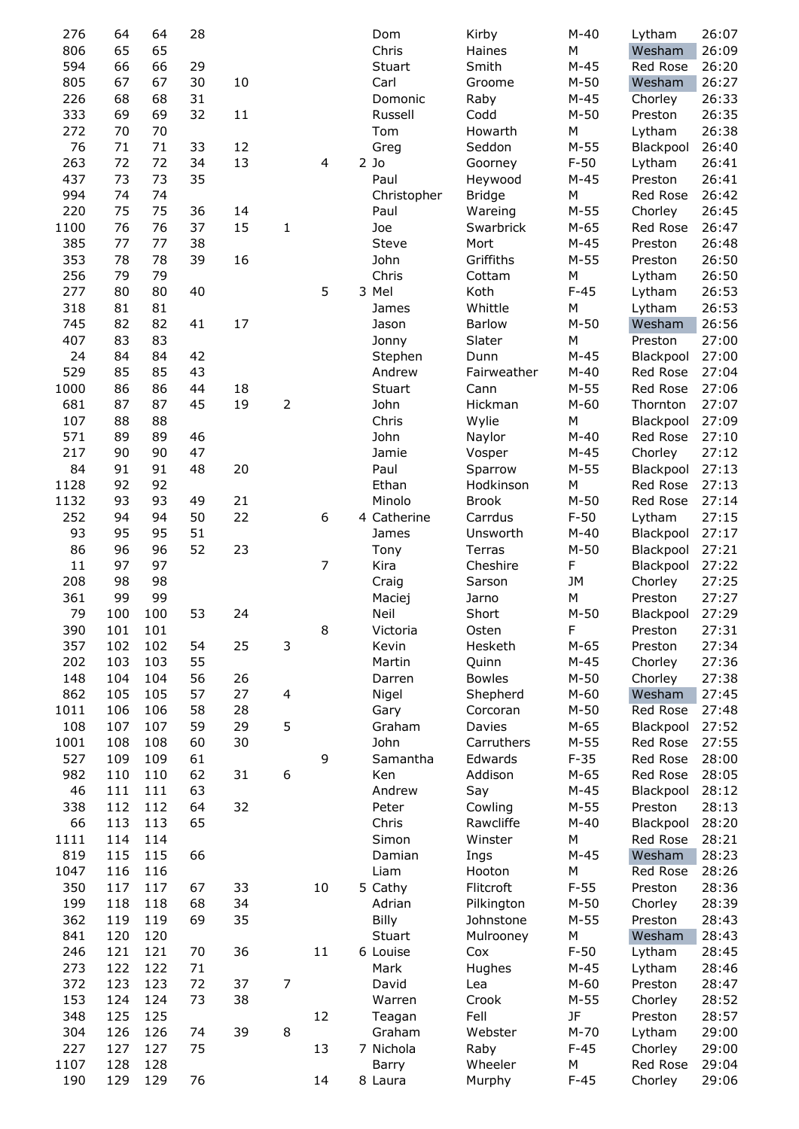| 276  | 64  | 64  | 28 |    |                          |    | Dom          | Kirby         | $M-40$    | Lytham    | 26:07 |
|------|-----|-----|----|----|--------------------------|----|--------------|---------------|-----------|-----------|-------|
| 806  | 65  | 65  |    |    |                          |    | Chris        | Haines        | M         | Wesham    | 26:09 |
| 594  | 66  | 66  | 29 |    |                          |    | Stuart       | Smith         | $M-45$    | Red Rose  | 26:20 |
| 805  | 67  | 67  | 30 | 10 |                          |    | Carl         | Groome        | $M-50$    | Wesham    | 26:27 |
| 226  | 68  | 68  | 31 |    |                          |    | Domonic      | Raby          | $M-45$    | Chorley   | 26:33 |
| 333  | 69  | 69  | 32 | 11 |                          |    | Russell      | Codd          | $M-50$    | Preston   | 26:35 |
| 272  | 70  | 70  |    |    |                          |    | Tom          | Howarth       | M         | Lytham    | 26:38 |
| 76   | 71  | 71  | 33 | 12 |                          |    | Greg         | Seddon        | $M-55$    | Blackpool | 26:40 |
| 263  | 72  | 72  | 34 | 13 |                          | 4  | $2$ Jo       | Goorney       | $F-50$    | Lytham    | 26:41 |
| 437  | 73  | 73  | 35 |    |                          |    | Paul         | Heywood       | $M-45$    | Preston   | 26:41 |
| 994  | 74  | 74  |    |    |                          |    | Christopher  | <b>Bridge</b> | ${\sf M}$ | Red Rose  | 26:42 |
| 220  | 75  | 75  | 36 | 14 |                          |    | Paul         | Wareing       | $M-55$    | Chorley   | 26:45 |
| 1100 | 76  | 76  | 37 | 15 | 1                        |    | Joe          | Swarbrick     | $M-65$    | Red Rose  | 26:47 |
| 385  | 77  | 77  | 38 |    |                          |    | <b>Steve</b> | Mort          | $M-45$    | Preston   | 26:48 |
| 353  | 78  | 78  | 39 | 16 |                          |    | John         | Griffiths     | $M-55$    | Preston   | 26:50 |
| 256  | 79  | 79  |    |    |                          |    | Chris        | Cottam        | М         | Lytham    | 26:50 |
| 277  | 80  | 80  | 40 |    |                          | 5  | 3 Mel        | Koth          | $F-45$    | Lytham    | 26:53 |
| 318  | 81  | 81  |    |    |                          |    | James        | Whittle       | M         | Lytham    | 26:53 |
| 745  | 82  | 82  | 41 | 17 |                          |    | Jason        | <b>Barlow</b> | $M-50$    | Wesham    | 26:56 |
| 407  | 83  | 83  |    |    |                          |    | Jonny        | Slater        | M         | Preston   | 27:00 |
| 24   | 84  | 84  | 42 |    |                          |    | Stephen      | Dunn          | $M-45$    | Blackpool | 27:00 |
| 529  | 85  | 85  | 43 |    |                          |    | Andrew       | Fairweather   | $M-40$    | Red Rose  | 27:04 |
| 1000 | 86  | 86  | 44 | 18 |                          |    | Stuart       | Cann          | $M-55$    | Red Rose  | 27:06 |
| 681  | 87  | 87  | 45 | 19 | $\overline{2}$           |    | John         | Hickman       | $M-60$    | Thornton  | 27:07 |
| 107  | 88  | 88  |    |    |                          |    | Chris        | Wylie         | М         | Blackpool | 27:09 |
| 571  | 89  | 89  | 46 |    |                          |    | John         | Naylor        | $M-40$    | Red Rose  | 27:10 |
| 217  | 90  | 90  | 47 |    |                          |    | Jamie        | Vosper        | $M-45$    | Chorley   | 27:12 |
| 84   | 91  | 91  | 48 | 20 |                          |    | Paul         | Sparrow       | $M-55$    | Blackpool | 27:13 |
| 1128 | 92  | 92  |    |    |                          |    | Ethan        | Hodkinson     | M         | Red Rose  | 27:13 |
| 1132 | 93  | 93  | 49 | 21 |                          |    | Minolo       | <b>Brook</b>  | $M-50$    | Red Rose  | 27:14 |
| 252  | 94  | 94  | 50 | 22 |                          | 6  | 4 Catherine  | Carrdus       | $F-50$    | Lytham    | 27:15 |
| 93   | 95  | 95  | 51 |    |                          |    | James        | Unsworth      | $M-40$    | Blackpool | 27:17 |
| 86   | 96  | 96  | 52 | 23 |                          |    | Tony         | Terras        | $M-50$    | Blackpool | 27:21 |
| 11   | 97  | 97  |    |    |                          | 7  | Kira         | Cheshire      | F         | Blackpool | 27:22 |
| 208  | 98  | 98  |    |    |                          |    | Craig        | Sarson        | <b>JM</b> | Chorley   | 27:25 |
| 361  | 99  | 99  |    |    |                          |    | Maciej       | Jarno         | M         | Preston   | 27:27 |
| 79   | 100 | 100 | 53 | 24 |                          |    | Neil         | Short         | $M-50$    | Blackpool | 27:29 |
| 390  | 101 | 101 |    |    |                          | 8  | Victoria     | Osten         | ۲         | Preston   | 27:31 |
| 357  | 102 | 102 | 54 | 25 | $\mathsf 3$              |    | Kevin        | Hesketh       | $M-65$    | Preston   | 27:34 |
| 202  | 103 | 103 | 55 |    |                          |    | Martin       | Quinn         | $M-45$    | Chorley   | 27:36 |
| 148  | 104 | 104 | 56 | 26 |                          |    | Darren       | <b>Bowles</b> | $M-50$    | Chorley   | 27:38 |
| 862  | 105 | 105 | 57 | 27 | $\overline{\mathcal{A}}$ |    | Nigel        | Shepherd      | $M-60$    | Wesham    | 27:45 |
| 1011 | 106 | 106 | 58 | 28 |                          |    | Gary         | Corcoran      | $M-50$    | Red Rose  | 27:48 |
| 108  | 107 | 107 | 59 | 29 | 5                        |    | Graham       | Davies        | $M-65$    | Blackpool | 27:52 |
| 1001 | 108 | 108 | 60 | 30 |                          |    | John         | Carruthers    | $M-55$    | Red Rose  | 27:55 |
| 527  | 109 | 109 | 61 |    |                          | 9  | Samantha     | Edwards       | $F-35$    | Red Rose  | 28:00 |
| 982  | 110 | 110 | 62 | 31 | 6                        |    | Ken          | Addison       | $M-65$    | Red Rose  | 28:05 |
| 46   | 111 | 111 | 63 |    |                          |    | Andrew       | Say           | $M-45$    | Blackpool | 28:12 |
| 338  | 112 | 112 | 64 | 32 |                          |    | Peter        | Cowling       | $M-55$    | Preston   | 28:13 |
| 66   | 113 | 113 | 65 |    |                          |    | Chris        | Rawcliffe     | $M-40$    | Blackpool | 28:20 |
| 1111 | 114 | 114 |    |    |                          |    | Simon        | Winster       | М         | Red Rose  | 28:21 |
| 819  | 115 | 115 | 66 |    |                          |    | Damian       | Ings          | $M-45$    | Wesham    | 28:23 |
| 1047 | 116 | 116 |    |    |                          |    | Liam         | Hooton        | М         | Red Rose  | 28:26 |
| 350  | 117 | 117 | 67 | 33 |                          | 10 | 5 Cathy      | Flitcroft     | $F-55$    | Preston   | 28:36 |
| 199  | 118 | 118 | 68 | 34 |                          |    | Adrian       | Pilkington    | $M-50$    | Chorley   | 28:39 |
| 362  | 119 | 119 | 69 | 35 |                          |    | Billy        | Johnstone     | $M-55$    | Preston   | 28:43 |
| 841  | 120 | 120 |    |    |                          |    | Stuart       | Mulrooney     | М         | Wesham    | 28:43 |
| 246  | 121 | 121 | 70 | 36 |                          | 11 | 6 Louise     | Cox           | $F-50$    | Lytham    | 28:45 |
| 273  | 122 | 122 | 71 |    |                          |    | Mark         | Hughes        | $M-45$    | Lytham    | 28:46 |
| 372  | 123 | 123 | 72 | 37 | $\overline{7}$           |    | David        | Lea           | $M-60$    | Preston   | 28:47 |
| 153  | 124 | 124 | 73 | 38 |                          |    | Warren       | Crook         | $M-55$    | Chorley   | 28:52 |
| 348  | 125 | 125 |    |    |                          | 12 | Teagan       | Fell          | JF        | Preston   | 28:57 |
| 304  | 126 | 126 | 74 | 39 | 8                        |    | Graham       | Webster       | $M-70$    | Lytham    | 29:00 |
| 227  | 127 | 127 | 75 |    |                          | 13 | 7 Nichola    | Raby          | $F-45$    | Chorley   | 29:00 |
| 1107 | 128 | 128 |    |    |                          |    | Barry        | Wheeler       | М         | Red Rose  | 29:04 |
| 190  | 129 | 129 | 76 |    |                          | 14 | 8 Laura      |               | $F-45$    |           | 29:06 |
|      |     |     |    |    |                          |    |              | Murphy        |           | Chorley   |       |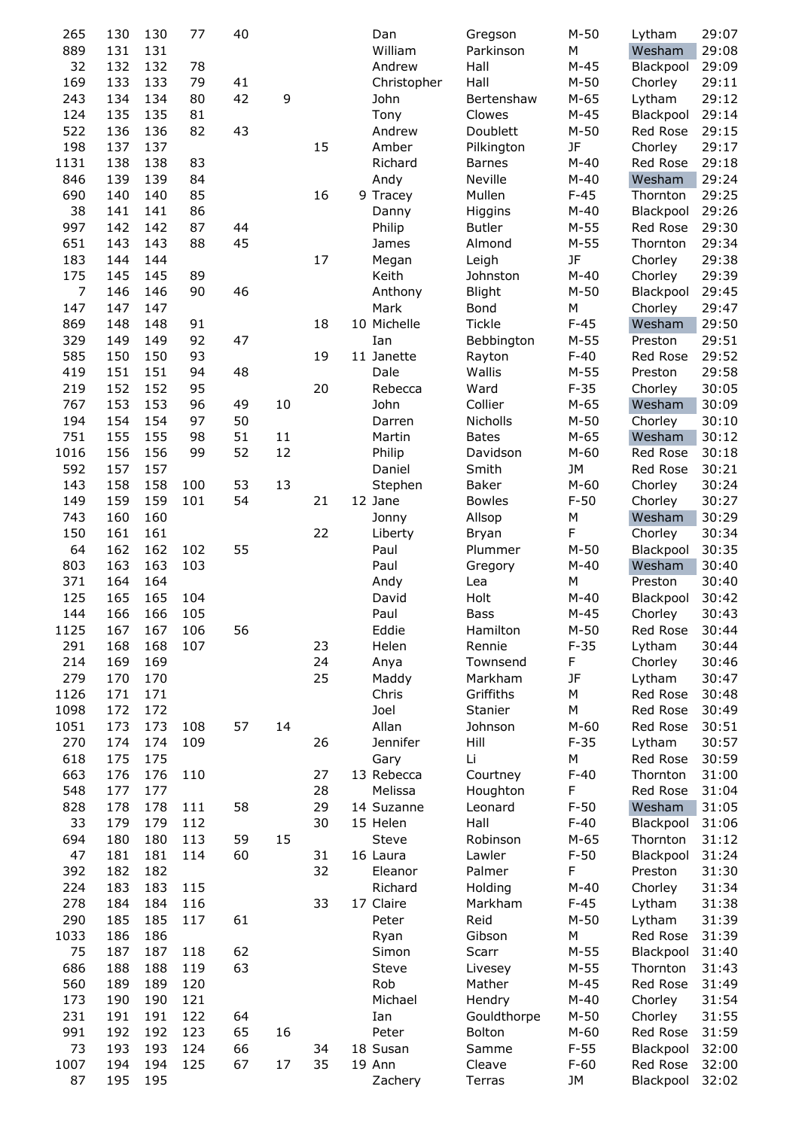| 265            | 130 | 130 | 77  | 40 |    |    | Dan         | Gregson       | $M-50$ | Lytham    | 29:07 |
|----------------|-----|-----|-----|----|----|----|-------------|---------------|--------|-----------|-------|
| 889            | 131 | 131 |     |    |    |    | William     | Parkinson     | М      | Wesham    | 29:08 |
| 32             | 132 | 132 | 78  |    |    |    | Andrew      | Hall          | $M-45$ | Blackpool | 29:09 |
| 169            | 133 | 133 | 79  | 41 |    |    | Christopher | Hall          | $M-50$ | Chorley   | 29:11 |
| 243            | 134 | 134 | 80  | 42 | 9  |    | John        | Bertenshaw    | $M-65$ | Lytham    | 29:12 |
| 124            | 135 | 135 | 81  |    |    |    | Tony        | Clowes        | $M-45$ | Blackpool | 29:14 |
| 522            | 136 | 136 | 82  | 43 |    |    | Andrew      | Doublett      | $M-50$ | Red Rose  | 29:15 |
| 198            | 137 | 137 |     |    |    | 15 | Amber       | Pilkington    | JF     | Chorley   | 29:17 |
| 1131           | 138 | 138 | 83  |    |    |    | Richard     | <b>Barnes</b> | $M-40$ | Red Rose  | 29:18 |
| 846            | 139 | 139 | 84  |    |    |    | Andy        | Neville       | $M-40$ | Wesham    | 29:24 |
| 690            | 140 | 140 | 85  |    |    | 16 | 9 Tracey    | Mullen        | $F-45$ | Thornton  | 29:25 |
| 38             | 141 | 141 | 86  |    |    |    | Danny       | Higgins       | $M-40$ | Blackpool | 29:26 |
| 997            | 142 | 142 | 87  | 44 |    |    | Philip      | <b>Butler</b> | $M-55$ | Red Rose  | 29:30 |
| 651            | 143 | 143 | 88  | 45 |    |    | James       | Almond        | $M-55$ | Thornton  | 29:34 |
| 183            | 144 | 144 |     |    |    | 17 | Megan       | Leigh         | JF     | Chorley   | 29:38 |
| 175            | 145 | 145 | 89  |    |    |    | Keith       | Johnston      | $M-40$ | Chorley   | 29:39 |
| $\overline{7}$ | 146 | 146 | 90  | 46 |    |    | Anthony     | <b>Blight</b> | $M-50$ | Blackpool | 29:45 |
| 147            | 147 | 147 |     |    |    |    | Mark        | Bond          | М      | Chorley   | 29:47 |
| 869            | 148 | 148 | 91  |    |    | 18 | 10 Michelle | <b>Tickle</b> | $F-45$ | Wesham    | 29:50 |
| 329            | 149 | 149 | 92  | 47 |    |    | Ian         | Bebbington    | $M-55$ | Preston   | 29:51 |
| 585            | 150 | 150 | 93  |    |    | 19 | 11 Janette  | Rayton        | $F-40$ | Red Rose  | 29:52 |
| 419            | 151 | 151 | 94  | 48 |    |    | Dale        | Wallis        | $M-55$ | Preston   | 29:58 |
| 219            | 152 | 152 | 95  |    |    | 20 | Rebecca     | Ward          | $F-35$ | Chorley   | 30:05 |
| 767            | 153 | 153 | 96  | 49 | 10 |    | John        | Collier       | $M-65$ | Wesham    | 30:09 |
| 194            | 154 | 154 | 97  | 50 |    |    | Darren      | Nicholls      | $M-50$ | Chorley   | 30:10 |
| 751            | 155 | 155 | 98  | 51 | 11 |    | Martin      | <b>Bates</b>  | $M-65$ | Wesham    | 30:12 |
| 1016           | 156 | 156 | 99  | 52 | 12 |    | Philip      | Davidson      | $M-60$ | Red Rose  | 30:18 |
| 592            | 157 | 157 |     |    |    |    | Daniel      | Smith         | JM     | Red Rose  | 30:21 |
| 143            | 158 | 158 | 100 | 53 | 13 |    | Stephen     | Baker         | $M-60$ | Chorley   | 30:24 |
| 149            | 159 | 159 | 101 | 54 |    | 21 | 12 Jane     | <b>Bowles</b> | $F-50$ | Chorley   | 30:27 |
| 743            | 160 | 160 |     |    |    |    | Jonny       | Allsop        | М      | Wesham    | 30:29 |
| 150            | 161 | 161 |     |    |    | 22 | Liberty     | Bryan         | F      | Chorley   | 30:34 |
| 64             | 162 | 162 | 102 | 55 |    |    | Paul        | Plummer       | $M-50$ | Blackpool | 30:35 |
| 803            | 163 | 163 | 103 |    |    |    | Paul        | Gregory       | $M-40$ | Wesham    | 30:40 |
| 371            | 164 | 164 |     |    |    |    | Andy        | Lea           | М      | Preston   | 30:40 |
| 125            | 165 | 165 | 104 |    |    |    | David       | Holt          | $M-40$ | Blackpool | 30:42 |
| 144            | 166 | 166 | 105 |    |    |    | Paul        | Bass          | $M-45$ | Chorley   | 30:43 |
| 1125           | 167 | 167 | 106 | 56 |    |    | Eddie       | Hamilton      | $M-50$ | Red Rose  | 30:44 |
| 291            | 168 | 168 | 107 |    |    | 23 | Helen       | Rennie        | $F-35$ | Lytham    | 30:44 |
| 214            | 169 | 169 |     |    |    | 24 | Anya        | Townsend      | F      | Chorley   | 30:46 |
| 279            | 170 | 170 |     |    |    | 25 | Maddy       | Markham       | JF     | Lytham    | 30:47 |
| 1126           | 171 | 171 |     |    |    |    | Chris       | Griffiths     | М      | Red Rose  | 30:48 |
| 1098           | 172 | 172 |     |    |    |    | Joel        | Stanier       | М      | Red Rose  | 30:49 |
| 1051           | 173 | 173 | 108 | 57 | 14 |    | Allan       | Johnson       | $M-60$ | Red Rose  | 30:51 |
| 270            | 174 | 174 | 109 |    |    | 26 | Jennifer    | Hill          | $F-35$ | Lytham    | 30:57 |
| 618            | 175 | 175 |     |    |    |    | Gary        | Li            | М      | Red Rose  | 30:59 |
| 663            | 176 | 176 | 110 |    |    | 27 | 13 Rebecca  | Courtney      | $F-40$ | Thornton  | 31:00 |
| 548            | 177 | 177 |     |    |    | 28 | Melissa     | Houghton      | F      | Red Rose  | 31:04 |
| 828            | 178 | 178 | 111 | 58 |    | 29 | 14 Suzanne  | Leonard       | $F-50$ | Wesham    | 31:05 |
| 33             | 179 | 179 | 112 |    |    | 30 | 15 Helen    | Hall          | $F-40$ | Blackpool | 31:06 |
| 694            | 180 | 180 | 113 | 59 | 15 |    | Steve       | Robinson      | $M-65$ | Thornton  | 31:12 |
| 47             | 181 | 181 | 114 | 60 |    | 31 | 16 Laura    | Lawler        | $F-50$ | Blackpool | 31:24 |
| 392            | 182 | 182 |     |    |    | 32 | Eleanor     | Palmer        | F      | Preston   | 31:30 |
| 224            | 183 | 183 | 115 |    |    |    | Richard     | Holding       | $M-40$ | Chorley   | 31:34 |
| 278            | 184 | 184 | 116 |    |    | 33 | 17 Claire   | Markham       | $F-45$ | Lytham    | 31:38 |
| 290            | 185 | 185 | 117 | 61 |    |    | Peter       | Reid          | $M-50$ | Lytham    | 31:39 |
| 1033           | 186 | 186 |     |    |    |    | Ryan        | Gibson        | М      | Red Rose  | 31:39 |
| 75             | 187 | 187 | 118 | 62 |    |    | Simon       | Scarr         | $M-55$ | Blackpool | 31:40 |
| 686            | 188 | 188 | 119 | 63 |    |    | Steve       | Livesey       | $M-55$ | Thornton  | 31:43 |
| 560            | 189 | 189 | 120 |    |    |    | Rob         | Mather        | $M-45$ | Red Rose  | 31:49 |
| 173            | 190 | 190 | 121 |    |    |    | Michael     | Hendry        | $M-40$ | Chorley   | 31:54 |
| 231            | 191 | 191 | 122 | 64 |    |    | Ian         | Gouldthorpe   | $M-50$ | Chorley   | 31:55 |
| 991            | 192 | 192 | 123 | 65 | 16 |    | Peter       | Bolton        | $M-60$ | Red Rose  | 31:59 |
| 73             | 193 | 193 | 124 | 66 |    | 34 | 18 Susan    | Samme         | $F-55$ | Blackpool | 32:00 |
| 1007           | 194 | 194 | 125 | 67 | 17 | 35 | 19 Ann      | Cleave        | $F-60$ | Red Rose  | 32:00 |
| 87             | 195 | 195 |     |    |    |    | Zachery     | Terras        | JM     | Blackpool | 32:02 |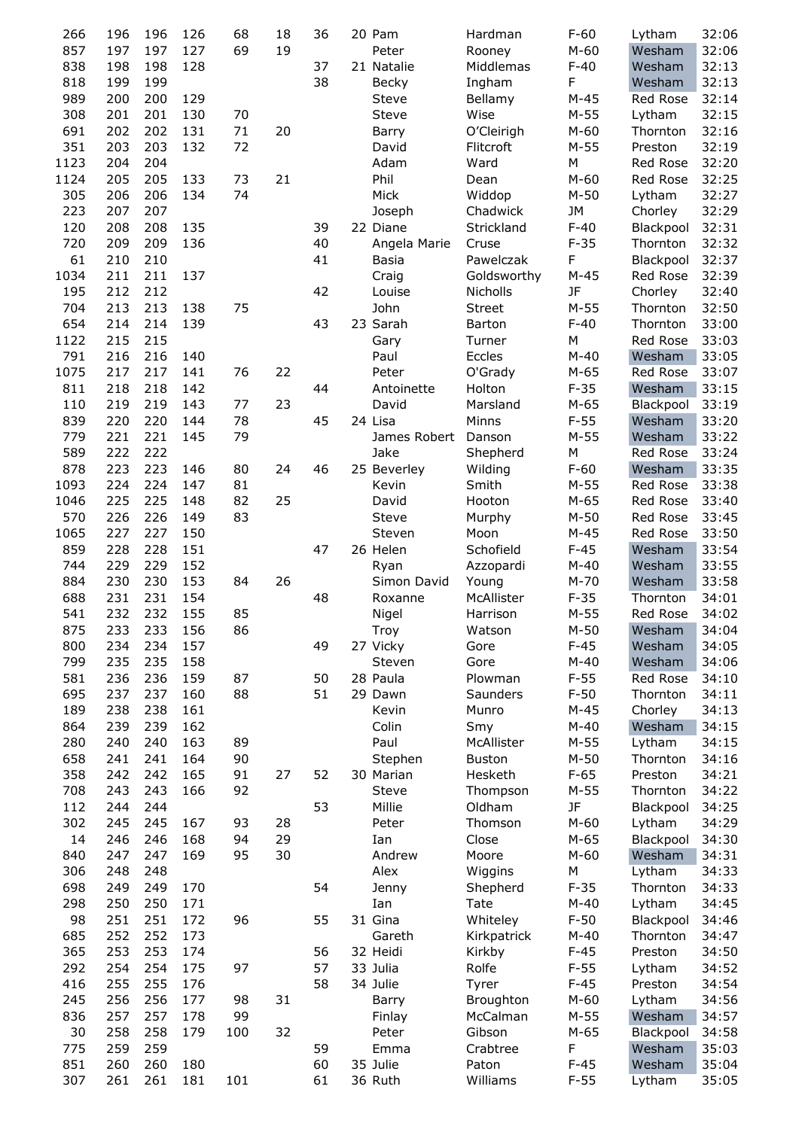| 266  | 196 | 196 | 126 | 68  | 18 | 36 | 20 Pam       | Hardman       | $F-60$ | Lytham       | 32:06 |
|------|-----|-----|-----|-----|----|----|--------------|---------------|--------|--------------|-------|
| 857  | 197 | 197 | 127 | 69  | 19 |    | Peter        | Rooney        | $M-60$ | Wesham       | 32:06 |
| 838  | 198 | 198 | 128 |     |    | 37 | 21 Natalie   | Middlemas     | $F-40$ | Wesham       | 32:13 |
| 818  | 199 | 199 |     |     |    | 38 | Becky        |               | F      | Wesham       | 32:13 |
|      |     |     |     |     |    |    |              | Ingham        |        |              |       |
| 989  | 200 | 200 | 129 |     |    |    | Steve        | Bellamy       | $M-45$ | Red Rose     | 32:14 |
| 308  | 201 | 201 | 130 | 70  |    |    | Steve        | Wise          | $M-55$ | Lytham       | 32:15 |
| 691  | 202 | 202 | 131 | 71  | 20 |    | Barry        | O'Cleirigh    | $M-60$ | Thornton     | 32:16 |
| 351  | 203 | 203 | 132 | 72  |    |    | David        | Flitcroft     | $M-55$ | Preston      | 32:19 |
| 1123 | 204 | 204 |     |     |    |    | Adam         | Ward          | М      | Red Rose     | 32:20 |
| 1124 | 205 | 205 | 133 | 73  | 21 |    | Phil         | Dean          | $M-60$ | Red Rose     | 32:25 |
| 305  | 206 | 206 | 134 | 74  |    |    | Mick         | Widdop        | $M-50$ | Lytham       | 32:27 |
| 223  | 207 | 207 |     |     |    |    | Joseph       | Chadwick      | JM     | Chorley      | 32:29 |
| 120  | 208 | 208 | 135 |     |    | 39 | 22 Diane     | Strickland    | $F-40$ | Blackpool    | 32:31 |
| 720  | 209 | 209 | 136 |     |    | 40 | Angela Marie | Cruse         | $F-35$ | Thornton     | 32:32 |
| 61   |     | 210 |     |     |    | 41 |              |               |        |              |       |
|      | 210 |     |     |     |    |    | Basia        | Pawelczak     | F      | Blackpool    | 32:37 |
| 1034 | 211 | 211 | 137 |     |    |    | Craig        | Goldsworthy   | $M-45$ | Red Rose     | 32:39 |
| 195  | 212 | 212 |     |     |    | 42 | Louise       | Nicholls      | JF     | Chorley      | 32:40 |
| 704  | 213 | 213 | 138 | 75  |    |    | John         | <b>Street</b> | $M-55$ | Thornton     | 32:50 |
| 654  | 214 | 214 | 139 |     |    | 43 | 23 Sarah     | <b>Barton</b> | $F-40$ | Thornton     | 33:00 |
| 1122 | 215 | 215 |     |     |    |    | Gary         | Turner        | М      | Red Rose     | 33:03 |
| 791  | 216 | 216 | 140 |     |    |    | Paul         | Eccles        | $M-40$ | Wesham       | 33:05 |
| 1075 | 217 | 217 | 141 | 76  | 22 |    | Peter        | O'Grady       | $M-65$ | Red Rose     | 33:07 |
| 811  | 218 | 218 | 142 |     |    | 44 | Antoinette   | Holton        | $F-35$ | Wesham       | 33:15 |
| 110  | 219 | 219 | 143 | 77  | 23 |    | David        | Marsland      | $M-65$ | Blackpool    | 33:19 |
|      |     |     |     |     |    |    |              |               |        |              |       |
| 839  | 220 | 220 | 144 | 78  |    | 45 | 24 Lisa      | Minns         | $F-55$ | Wesham       | 33:20 |
| 779  | 221 | 221 | 145 | 79  |    |    | James Robert | Danson        | $M-55$ | Wesham       | 33:22 |
| 589  | 222 | 222 |     |     |    |    | Jake         | Shepherd      | М      | Red Rose     | 33:24 |
| 878  | 223 | 223 | 146 | 80  | 24 | 46 | 25 Beverley  | Wilding       | $F-60$ | Wesham       | 33:35 |
| 1093 | 224 | 224 | 147 | 81  |    |    | Kevin        | Smith         | $M-55$ | Red Rose     | 33:38 |
| 1046 | 225 | 225 | 148 | 82  | 25 |    | David        | Hooton        | $M-65$ | Red Rose     | 33:40 |
| 570  | 226 | 226 | 149 | 83  |    |    | Steve        | Murphy        | $M-50$ | Red Rose     | 33:45 |
| 1065 | 227 | 227 | 150 |     |    |    | Steven       | Moon          | $M-45$ | Red Rose     | 33:50 |
| 859  | 228 | 228 | 151 |     |    | 47 | 26 Helen     | Schofield     | $F-45$ | Wesham       | 33:54 |
| 744  | 229 | 229 | 152 |     |    |    | Ryan         | Azzopardi     | $M-40$ | Wesham       | 33:55 |
|      |     |     |     |     |    |    |              |               |        |              |       |
| 884  | 230 | 230 | 153 | 84  | 26 |    | Simon David  | Young         | $M-70$ | Wesham       | 33:58 |
| 688  | 231 | 231 | 154 |     |    | 48 | Roxanne      | McAllister    | $F-35$ | Thornton     | 34:01 |
| 541  | 232 | 232 | 155 | 85  |    |    | Nigel        | Harrison      | $M-55$ | Red Rose     | 34:02 |
| 875  | 233 | 233 | 156 | 86  |    |    | Troy         | Watson        | $M-50$ | Wesham 34:04 |       |
| 800  | 234 | 234 | 157 |     |    | 49 | 27 Vicky     | Gore          | $F-45$ | Wesham       | 34:05 |
| 799  | 235 | 235 | 158 |     |    |    | Steven       | Gore          | $M-40$ | Wesham       | 34:06 |
| 581  | 236 | 236 | 159 | 87  |    | 50 | 28 Paula     | Plowman       | $F-55$ | Red Rose     | 34:10 |
| 695  | 237 | 237 | 160 | 88  |    | 51 | 29 Dawn      | Saunders      | $F-50$ | Thornton     | 34:11 |
| 189  | 238 | 238 | 161 |     |    |    | Kevin        | Munro         | $M-45$ | Chorley      | 34:13 |
| 864  | 239 | 239 | 162 |     |    |    | Colin        | Smy           | $M-40$ | Wesham       | 34:15 |
| 280  | 240 | 240 | 163 | 89  |    |    | Paul         | McAllister    | $M-55$ | Lytham       | 34:15 |
|      |     |     |     |     |    |    |              |               |        |              |       |
| 658  | 241 | 241 | 164 | 90  |    |    | Stephen      | <b>Buston</b> | $M-50$ | Thornton     | 34:16 |
| 358  | 242 | 242 | 165 | 91  | 27 | 52 | 30 Marian    | Hesketh       | $F-65$ | Preston      | 34:21 |
| 708  | 243 | 243 | 166 | 92  |    |    | Steve        | Thompson      | $M-55$ | Thornton     | 34:22 |
| 112  | 244 | 244 |     |     |    | 53 | Millie       | Oldham        | JF     | Blackpool    | 34:25 |
| 302  | 245 | 245 | 167 | 93  | 28 |    | Peter        | Thomson       | $M-60$ | Lytham       | 34:29 |
| 14   | 246 | 246 | 168 | 94  | 29 |    | Ian          | Close         | $M-65$ | Blackpool    | 34:30 |
| 840  | 247 | 247 | 169 | 95  | 30 |    | Andrew       | Moore         | $M-60$ | Wesham       | 34:31 |
| 306  | 248 | 248 |     |     |    |    | Alex         | Wiggins       | М      | Lytham       | 34:33 |
| 698  | 249 | 249 | 170 |     |    | 54 | Jenny        | Shepherd      | $F-35$ | Thornton     | 34:33 |
| 298  | 250 | 250 | 171 |     |    |    | Ian          | Tate          | $M-40$ | Lytham       | 34:45 |
|      |     |     |     |     |    |    |              |               |        |              |       |
| 98   | 251 | 251 | 172 | 96  |    | 55 | 31 Gina      | Whiteley      | $F-50$ | Blackpool    | 34:46 |
| 685  | 252 | 252 | 173 |     |    |    | Gareth       | Kirkpatrick   | $M-40$ | Thornton     | 34:47 |
| 365  | 253 | 253 | 174 |     |    | 56 | 32 Heidi     | Kirkby        | $F-45$ | Preston      | 34:50 |
| 292  | 254 | 254 | 175 | 97  |    | 57 | 33 Julia     | Rolfe         | $F-55$ | Lytham       | 34:52 |
| 416  | 255 | 255 | 176 |     |    | 58 | 34 Julie     | Tyrer         | $F-45$ | Preston      | 34:54 |
| 245  | 256 | 256 | 177 | 98  | 31 |    | Barry        | Broughton     | $M-60$ | Lytham       | 34:56 |
| 836  | 257 | 257 | 178 | 99  |    |    | Finlay       | McCalman      | $M-55$ | Wesham       | 34:57 |
| 30   | 258 | 258 | 179 | 100 | 32 |    | Peter        | Gibson        | $M-65$ | Blackpool    | 34:58 |
| 775  | 259 | 259 |     |     |    | 59 | Emma         | Crabtree      | F      | Wesham       | 35:03 |
| 851  | 260 | 260 | 180 |     |    | 60 | 35 Julie     | Paton         | $F-45$ | Wesham       | 35:04 |
|      |     |     |     |     |    |    |              |               |        |              |       |
| 307  | 261 | 261 | 181 | 101 |    | 61 | 36 Ruth      | Williams      | $F-55$ | Lytham       | 35:05 |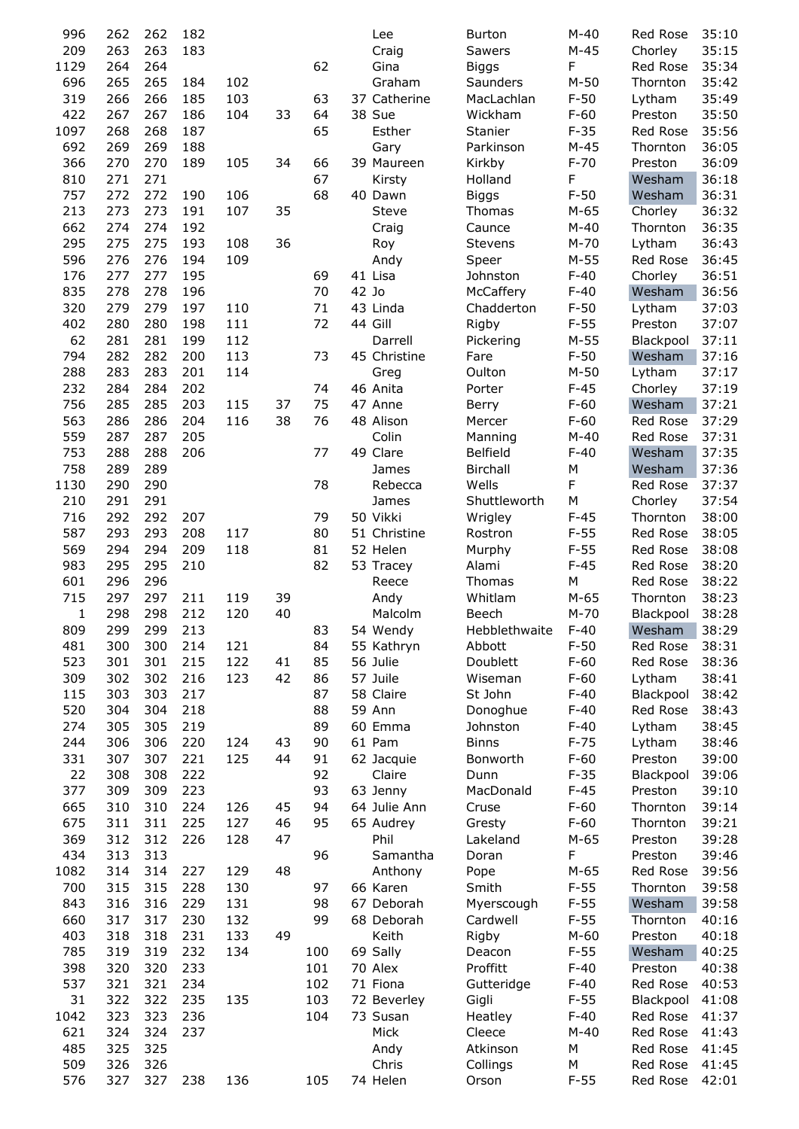| 996        | 262        | 262        | 182 |     |    |     |       | Lee               | <b>Burton</b>     | $M-40$      | Red Rose             | 35:10          |
|------------|------------|------------|-----|-----|----|-----|-------|-------------------|-------------------|-------------|----------------------|----------------|
| 209        | 263        | 263        | 183 |     |    |     |       | Craig             | Sawers            | $M-45$      | Chorley              | 35:15          |
| 1129       | 264        | 264        |     |     |    | 62  |       | Gina              | <b>Biggs</b>      | F           | Red Rose             | 35:34          |
| 696        | 265        | 265        | 184 | 102 |    |     |       | Graham            | Saunders          | $M-50$      | Thornton             | 35:42          |
| 319        | 266        | 266        | 185 | 103 |    | 63  |       | 37 Catherine      | MacLachlan        | $F-50$      | Lytham               | 35:49          |
| 422        | 267        | 267        | 186 | 104 | 33 | 64  |       | 38 Sue            | Wickham           | $F-60$      | Preston              | 35:50          |
| 1097       | 268        | 268        | 187 |     |    | 65  |       | Esther            | Stanier           | $F-35$      | Red Rose             | 35:56          |
| 692        | 269        | 269        | 188 |     |    |     |       | Gary              | Parkinson         | $M-45$      | Thornton             | 36:05          |
| 366        | 270        | 270        | 189 | 105 | 34 | 66  |       | 39 Maureen        | Kirkby            | $F-70$      | Preston              | 36:09          |
| 810        | 271        | 271        |     |     |    | 67  |       | Kirsty            | Holland           | F           | Wesham               | 36:18          |
| 757        | 272        | 272        | 190 | 106 |    | 68  |       | 40 Dawn           | <b>Biggs</b>      | $F-50$      | Wesham               | 36:31          |
| 213        | 273        | 273        | 191 | 107 | 35 |     |       | Steve             | Thomas            | $M-65$      | Chorley              | 36:32          |
| 662        | 274        | 274        | 192 |     |    |     |       | Craig             | Caunce            | $M-40$      | Thornton             | 36:35          |
| 295        | 275        | 275        | 193 | 108 | 36 |     |       | Roy               | Stevens           | $M-70$      | Lytham               | 36:43          |
| 596        | 276        | 276        | 194 | 109 |    |     |       | Andy              | Speer             | $M-55$      | Red Rose             | 36:45          |
| 176        | 277        | 277        | 195 |     |    | 69  |       | 41 Lisa           | Johnston          | $F-40$      | Chorley              | 36:51          |
|            | 278        | 278        | 196 |     |    | 70  | 42 Jo |                   |                   | $F-40$      |                      |                |
| 835        |            |            |     |     |    |     |       |                   | McCaffery         |             | Wesham               | 36:56          |
| 320        | 279        | 279        | 197 | 110 |    | 71  |       | 43 Linda          | Chadderton        | $F-50$      | Lytham               | 37:03          |
| 402        | 280        | 280        | 198 | 111 |    | 72  |       | 44 Gill           | Rigby             | $F-55$      | Preston              | 37:07          |
| 62         | 281        | 281        | 199 | 112 |    |     |       | Darrell           | Pickering         | $M-55$      | Blackpool            | 37:11          |
| 794        | 282        | 282        | 200 | 113 |    | 73  |       | 45 Christine      | Fare              | $F-50$      | Wesham               | 37:16          |
| 288        | 283        | 283        | 201 | 114 |    |     |       | Greg              | Oulton            | $M-50$      | Lytham               | 37:17          |
| 232        | 284        | 284        | 202 |     |    | 74  |       | 46 Anita          | Porter            | $F-45$      | Chorley              | 37:19          |
| 756        | 285        | 285        | 203 | 115 | 37 | 75  |       | 47 Anne           | Berry             | $F-60$      | Wesham               | 37:21          |
| 563        | 286        | 286        | 204 | 116 | 38 | 76  |       | 48 Alison         | Mercer            | $F-60$      | Red Rose             | 37:29          |
| 559        | 287        | 287        | 205 |     |    |     |       | Colin             | Manning           | $M-40$      | Red Rose             | 37:31          |
| 753        | 288        | 288        | 206 |     |    | 77  |       | 49 Clare          | <b>Belfield</b>   | $F-40$      | Wesham               | 37:35          |
| 758        | 289        | 289        |     |     |    |     |       | James             | Birchall          | М           | Wesham               | 37:36          |
| 1130       | 290        | 290        |     |     |    | 78  |       | Rebecca           | Wells             | F           | Red Rose             | 37:37          |
| 210        | 291        | 291        |     |     |    |     |       | James             | Shuttleworth      | M           | Chorley              | 37:54          |
| 716        | 292        | 292        | 207 |     |    | 79  |       | 50 Vikki          | Wrigley           | $F-45$      | Thornton             | 38:00          |
| 587        | 293        | 293        | 208 | 117 |    | 80  |       | 51 Christine      | Rostron           | $F-55$      | Red Rose             | 38:05          |
| 569        | 294        | 294        | 209 | 118 |    | 81  |       | 52 Helen          | Murphy            | $F-55$      | Red Rose             | 38:08          |
| 983        | 295        | 295        | 210 |     |    | 82  |       | 53 Tracey         | Alami             | $F-45$      | Red Rose             | 38:20          |
| 601        | 296        | 296        |     |     |    |     |       | Reece             | Thomas            | М           | Red Rose             | 38:22          |
| 715        | 297        | 297        | 211 | 119 | 39 |     |       | Andy              | Whitlam           | $M-65$      | Thornton             | 38:23          |
| 1          | 298        | 298        | 212 | 120 | 40 |     |       | Malcolm           | Beech             | $M-70$      | Blackpool            | 38:28          |
| 809        | 299        | 299        | 213 |     |    | 83  |       | 54 Wendy          | Hebblethwaite     | $F-40$      | Wesham               | 38:29          |
| 481        | 300        | 300        | 214 | 121 |    | 84  |       | 55 Kathryn        | Abbott            | $F-50$      | Red Rose             | 38:31          |
|            |            | 301        |     |     |    |     |       | 56 Julie          |                   | $F-60$      |                      |                |
| 523        | 301        |            | 215 | 122 | 41 | 85  |       |                   | Doublett          |             | Red Rose             | 38:36          |
| 309        | 302        | 302        | 216 | 123 | 42 | 86  |       | 57 Juile          | Wiseman           | $F-60$      | Lytham               | 38:41          |
| 115        | 303        | 303        | 217 |     |    | 87  |       | 58 Claire         | St John           | $F-40$      | Blackpool            | 38:42          |
| 520        | 304        | 304        | 218 |     |    | 88  |       | 59 Ann            | Donoghue          | $F-40$      | Red Rose             | 38:43          |
| 274        | 305        | 305        | 219 |     |    | 89  |       | 60 Emma           | Johnston          | $F-40$      | Lytham               | 38:45          |
| 244        | 306        | 306        | 220 | 124 | 43 | 90  |       | 61 Pam            | <b>Binns</b>      | $F-75$      | Lytham               | 38:46          |
| 331        | 307        | 307        | 221 | 125 | 44 | 91  |       | 62 Jacquie        | Bonworth          | $F-60$      | Preston              | 39:00          |
| 22         | 308        | 308        | 222 |     |    | 92  |       | Claire            | Dunn              | $F-35$      | Blackpool            | 39:06          |
| 377        | 309        | 309        | 223 |     |    | 93  |       | 63 Jenny          | MacDonald         | $F-45$      | Preston              | 39:10          |
| 665        | 310        | 310        | 224 | 126 | 45 | 94  |       | 64 Julie Ann      | Cruse             | $F-60$      | Thornton             | 39:14          |
| 675        | 311        | 311        | 225 | 127 | 46 | 95  |       | 65 Audrey         | Gresty            | $F-60$      | Thornton             | 39:21          |
| 369        | 312        | 312        | 226 | 128 | 47 |     |       | Phil              | Lakeland          | $M-65$      | Preston              | 39:28          |
| 434        | 313        | 313        |     |     |    | 96  |       | Samantha          | Doran             | F           | Preston              | 39:46          |
| 1082       | 314        | 314        | 227 | 129 | 48 |     |       | Anthony           | Pope              | $M-65$      | Red Rose             | 39:56          |
| 700        | 315        | 315        | 228 | 130 |    | 97  |       | 66 Karen          | Smith             | $F-55$      | Thornton             | 39:58          |
| 843        | 316        | 316        | 229 | 131 |    | 98  |       | 67 Deborah        | Myerscough        | $F-55$      | Wesham               | 39:58          |
| 660        | 317        | 317        | 230 | 132 |    | 99  |       | 68 Deborah        | Cardwell          | $F-55$      | Thornton             | 40:16          |
| 403        | 318        | 318        | 231 | 133 | 49 |     |       | Keith             | Rigby             | $M-60$      | Preston              | 40:18          |
| 785        | 319        | 319        | 232 | 134 |    | 100 |       | 69 Sally          | Deacon            | $F-55$      | Wesham               | 40:25          |
| 398        | 320        | 320        | 233 |     |    | 101 |       | 70 Alex           | Proffitt          | $F-40$      | Preston              | 40:38          |
| 537        | 321        | 321        | 234 |     |    | 102 |       | 71 Fiona          | Gutteridge        | $F-40$      | Red Rose             | 40:53          |
| 31         |            | 322        | 235 | 135 |    | 103 |       | 72 Beverley       | Gigli             | $F-55$      | Blackpool            | 41:08          |
| 1042       |            |            |     |     |    |     |       |                   |                   |             |                      |                |
|            | 322        |            |     |     |    |     |       |                   |                   |             |                      |                |
|            | 323        | 323        | 236 |     |    | 104 |       | 73 Susan          | Heatley           | $F-40$      | Red Rose             | 41:37          |
| 621        | 324        | 324        | 237 |     |    |     |       | Mick              | Cleece            | $M-40$      | Red Rose             | 41:43          |
| 485        | 325        | 325        |     |     |    |     |       | Andy              | Atkinson          | М           | Red Rose             | 41:45          |
| 509<br>576 | 326<br>327 | 326<br>327 | 238 | 136 |    | 105 |       | Chris<br>74 Helen | Collings<br>Orson | М<br>$F-55$ | Red Rose<br>Red Rose | 41:45<br>42:01 |